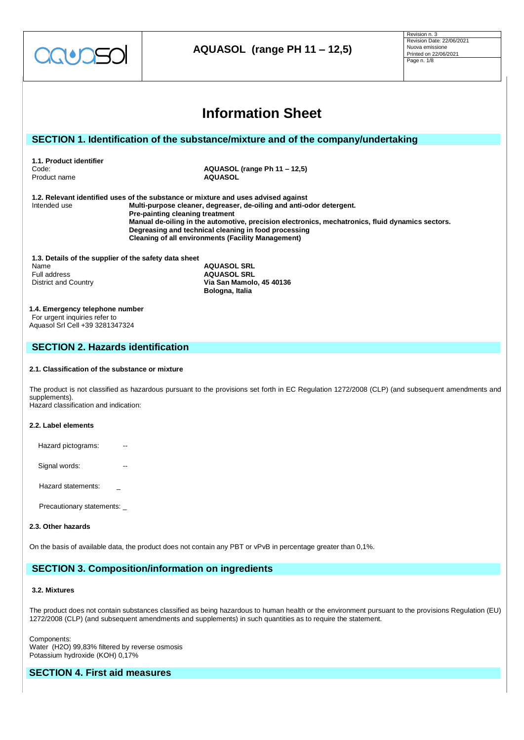

| <b>Information Sheet</b>                                                                                     |                                 |                                                                                                                                                                                                                                                                                                                                                                                     |  |  |
|--------------------------------------------------------------------------------------------------------------|---------------------------------|-------------------------------------------------------------------------------------------------------------------------------------------------------------------------------------------------------------------------------------------------------------------------------------------------------------------------------------------------------------------------------------|--|--|
|                                                                                                              |                                 |                                                                                                                                                                                                                                                                                                                                                                                     |  |  |
| SECTION 1. Identification of the substance/mixture and of the company/undertaking                            |                                 |                                                                                                                                                                                                                                                                                                                                                                                     |  |  |
| 1.1. Product identifier<br>Code:<br>Product name                                                             |                                 | AQUASOL (range Ph 11 – 12,5)<br><b>AQUASOL</b>                                                                                                                                                                                                                                                                                                                                      |  |  |
| Intended use                                                                                                 | Pre-painting cleaning treatment | 1.2. Relevant identified uses of the substance or mixture and uses advised against<br>Multi-purpose cleaner, degreaser, de-oiling and anti-odor detergent.<br>Manual de-oiling in the automotive, precision electronics, mechatronics, fluid dynamics sectors.<br>Degreasing and technical cleaning in food processing<br><b>Cleaning of all environments (Facility Management)</b> |  |  |
| 1.3. Details of the supplier of the safety data sheet<br>Name<br>Full address<br><b>District and Country</b> |                                 | <b>AQUASOL SRL</b><br><b>AQUASOL SRL</b><br>Via San Mamolo, 45 40136<br>Bologna, Italia                                                                                                                                                                                                                                                                                             |  |  |
| 1.4. Emergency telephone number<br>For urgent inquiries refer to<br>Aquasol Srl Cell +39 3281347324          |                                 |                                                                                                                                                                                                                                                                                                                                                                                     |  |  |
| <b>SECTION 2. Hazards identification</b>                                                                     |                                 |                                                                                                                                                                                                                                                                                                                                                                                     |  |  |
| 2.1. Classification of the substance or mixture                                                              |                                 |                                                                                                                                                                                                                                                                                                                                                                                     |  |  |
| supplements).<br>Hazard classification and indication:                                                       |                                 | The product is not classified as hazardous pursuant to the provisions set forth in EC Regulation 1272/2008 (CLP) (and subsequent amendments and                                                                                                                                                                                                                                     |  |  |
| 2.2. Label elements                                                                                          |                                 |                                                                                                                                                                                                                                                                                                                                                                                     |  |  |
| Hazard pictograms:                                                                                           |                                 |                                                                                                                                                                                                                                                                                                                                                                                     |  |  |
| Signal words:                                                                                                |                                 |                                                                                                                                                                                                                                                                                                                                                                                     |  |  |
| Hazard statements:                                                                                           |                                 |                                                                                                                                                                                                                                                                                                                                                                                     |  |  |
| Precautionary statements: _                                                                                  |                                 |                                                                                                                                                                                                                                                                                                                                                                                     |  |  |
| 2.3. Other hazards                                                                                           |                                 |                                                                                                                                                                                                                                                                                                                                                                                     |  |  |

On the basis of available data, the product does not contain any PBT or vPvB in percentage greater than 0,1%.

# **SECTION 3. Composition/information on ingredients**

# **3.2. Mixtures**

The product does not contain substances classified as being hazardous to human health or the environment pursuant to the provisions Regulation (EU) 1272/2008 (CLP) (and subsequent amendments and supplements) in such quantities as to require the statement.

Components: Water (H2O) 99,83% filtered by reverse osmosis Potassium hydroxide (KOH) 0,17%

# **SECTION 4. First aid measures**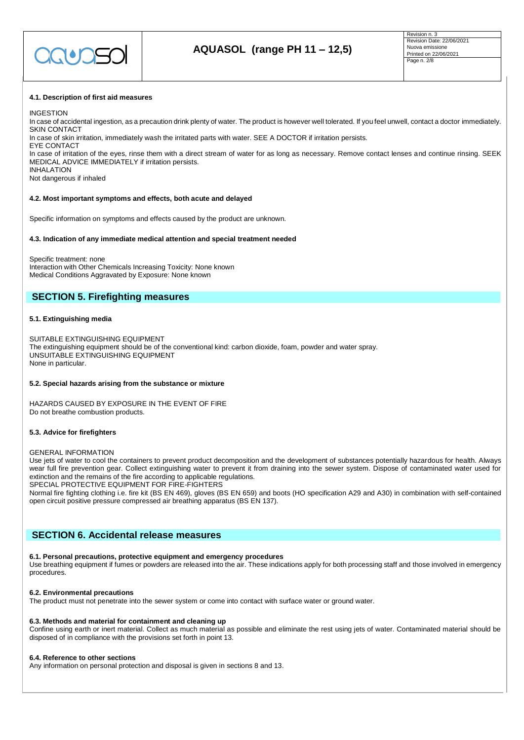

#### **4.1. Description of first aid measures**

#### INGESTION

In case of accidental ingestion, as a precaution drink plenty of water. The product is however well tolerated. If you feel unwell, contact a doctor immediately. SKIN CONTACT

In case of skin irritation, immediately wash the irritated parts with water. SEE A DOCTOR if irritation persists.

EYE CONTACT In case of irritation of the eyes, rinse them with a direct stream of water for as long as necessary. Remove contact lenses and continue rinsing. SEEK MEDICAL ADVICE IMMEDIATELY if irritation persists.

INHALATION Not dangerous if inhaled

#### **4.2. Most important symptoms and effects, both acute and delayed**

Specific information on symptoms and effects caused by the product are unknown.

#### **4.3. Indication of any immediate medical attention and special treatment needed**

Specific treatment: none Interaction with Other Chemicals Increasing Toxicity: None known Medical Conditions Aggravated by Exposure: None known

# **SECTION 5. Firefighting measures**

#### **5.1. Extinguishing media**

SUITABLE EXTINGUISHING EQUIPMENT The extinguishing equipment should be of the conventional kind: carbon dioxide, foam, powder and water spray. UNSUITABLE EXTINGUISHING EQUIPMENT None in particular.

#### **5.2. Special hazards arising from the substance or mixture**

HAZARDS CAUSED BY EXPOSURE IN THE EVENT OF FIRE Do not breathe combustion products.

#### **5.3. Advice for firefighters**

#### GENERAL INFORMATION

Use jets of water to cool the containers to prevent product decomposition and the development of substances potentially hazardous for health. Always wear full fire prevention gear. Collect extinguishing water to prevent it from draining into the sewer system. Dispose of contaminated water used for extinction and the remains of the fire according to applicable regulations.

SPECIAL PROTECTIVE EQUIPMENT FOR FIRE-FIGHTERS

Normal fire fighting clothing i.e. fire kit (BS EN 469), gloves (BS EN 659) and boots (HO specification A29 and A30) in combination with self-contained open circuit positive pressure compressed air breathing apparatus (BS EN 137).

# **SECTION 6. Accidental release measures**

#### **6.1. Personal precautions, protective equipment and emergency procedures**

Use breathing equipment if fumes or powders are released into the air. These indications apply for both processing staff and those involved in emergency procedures.

#### **6.2. Environmental precautions**

The product must not penetrate into the sewer system or come into contact with surface water or ground water.

#### **6.3. Methods and material for containment and cleaning up**

Confine using earth or inert material. Collect as much material as possible and eliminate the rest using jets of water. Contaminated material should be disposed of in compliance with the provisions set forth in point 13.

#### **6.4. Reference to other sections**

Any information on personal protection and disposal is given in sections 8 and 13.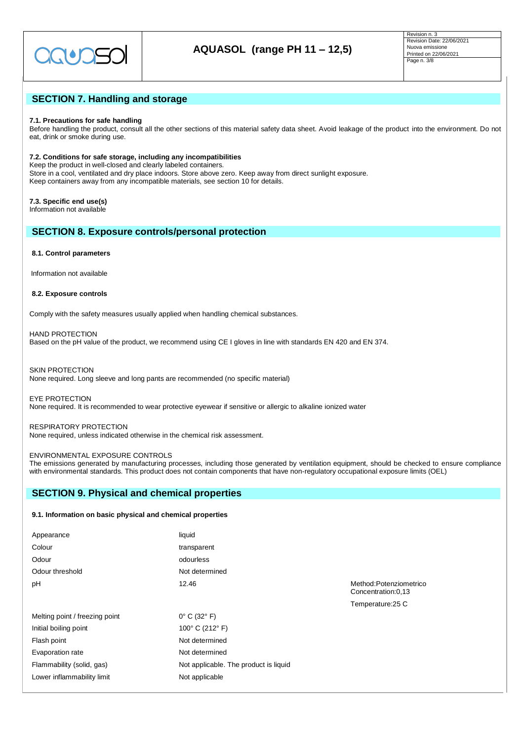

# **SECTION 7. Handling and storage**

## **7.1. Precautions for safe handling**

Before handling the product, consult all the other sections of this material safety data sheet. Avoid leakage of the product into the environment. Do not eat, drink or smoke during use.

### **7.2. Conditions for safe storage, including any incompatibilities**

Keep the product in well-closed and clearly labeled containers. Store in a cool, ventilated and dry place indoors. Store above zero. Keep away from direct sunlight exposure. Keep containers away from any incompatible materials, see section 10 for details.

**7.3. Specific end use(s)** Information not available

## **SECTION 8. Exposure controls/personal protection**

#### **8.1. Control parameters**

Information not available

## **8.2. Exposure controls**

Comply with the safety measures usually applied when handling chemical substances.

HAND PROTECTION Based on the pH value of the product, we recommend using CE I gloves in line with standards EN 420 and EN 374.

SKIN PROTECTION None required. Long sleeve and long pants are recommended (no specific material)

EYE PROTECTION None required. It is recommended to wear protective eyewear if sensitive or allergic to alkaline ionized water

RESPIRATORY PROTECTION None required, unless indicated otherwise in the chemical risk assessment.

## ENVIRONMENTAL EXPOSURE CONTROLS

The emissions generated by manufacturing processes, including those generated by ventilation equipment, should be checked to ensure compliance with environmental standards. This product does not contain components that have non-regulatory occupational exposure limits (OEL)

# **SECTION 9. Physical and chemical properties**

## **9.1. Information on basic physical and chemical properties**

| Appearance                     | liquid                                |
|--------------------------------|---------------------------------------|
| Colour                         | transparent                           |
| Odour                          | odourless                             |
| Odour threshold                | Not determined                        |
| рH                             | 12.46                                 |
|                                |                                       |
| Melting point / freezing point | $0^\circ$ C (32 $^\circ$ F)           |
| Initial boiling point          | 100° C (212° F)                       |
| Flash point                    | Not determined                        |
| Evaporation rate               | Not determined                        |
| Flammability (solid, gas)      | Not applicable. The product is liquid |
| Lower inflammability limit     | Not applicable                        |

Method:Potenziometrico Concentration:0,13 Temperature:25 C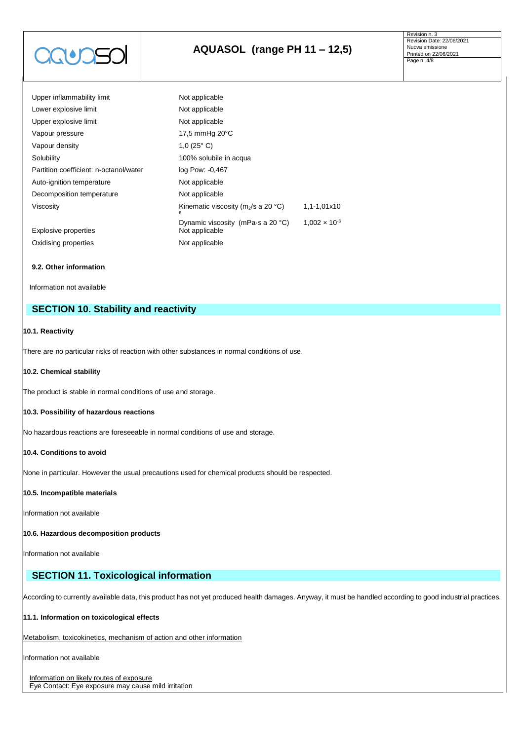

| Upper inflammability limit             | Not applicable                                      |                        |  |
|----------------------------------------|-----------------------------------------------------|------------------------|--|
| Lower explosive limit                  | Not applicable                                      |                        |  |
| Upper explosive limit                  | Not applicable                                      |                        |  |
| Vapour pressure                        | 17,5 mmHg 20°C                                      |                        |  |
| Vapour density                         | 1,0 $(25^{\circ} C)$                                |                        |  |
| Solubility                             | 100% solubile in acqua                              |                        |  |
| Partition coefficient: n-octanol/water | log Pow: -0,467                                     |                        |  |
| Auto-ignition temperature              | Not applicable                                      |                        |  |
| Decomposition temperature              | Not applicable                                      |                        |  |
| Viscosity                              | Kinematic viscosity ( $m2/s$ a 20 °C)<br>6          | $1,1-1,01x10$          |  |
| Explosive properties                   | Dynamic viscosity (mPa·s a 20 °C)<br>Not applicable | $1.002 \times 10^{-3}$ |  |
| Oxidising properties                   | Not applicable                                      |                        |  |

## **9.2. Other information**

Information not available

# **SECTION 10. Stability and reactivity**

## **10.1. Reactivity**

There are no particular risks of reaction with other substances in normal conditions of use.

## **10.2. Chemical stability**

The product is stable in normal conditions of use and storage.

## **10.3. Possibility of hazardous reactions**

No hazardous reactions are foreseeable in normal conditions of use and storage.

## **10.4. Conditions to avoid**

None in particular. However the usual precautions used for chemical products should be respected.

## **10.5. Incompatible materials**

Information not available

## **10.6. Hazardous decomposition products**

Information not available

# **SECTION 11. Toxicological information**

According to currently available data, this product has not yet produced health damages. Anyway, it must be handled according to good industrial practices.

## **11.1. Information on toxicological effects**

Metabolism, toxicokinetics, mechanism of action and other information

Information not available

Information on likely routes of exposure Eye Contact: Eye exposure may cause mild irritation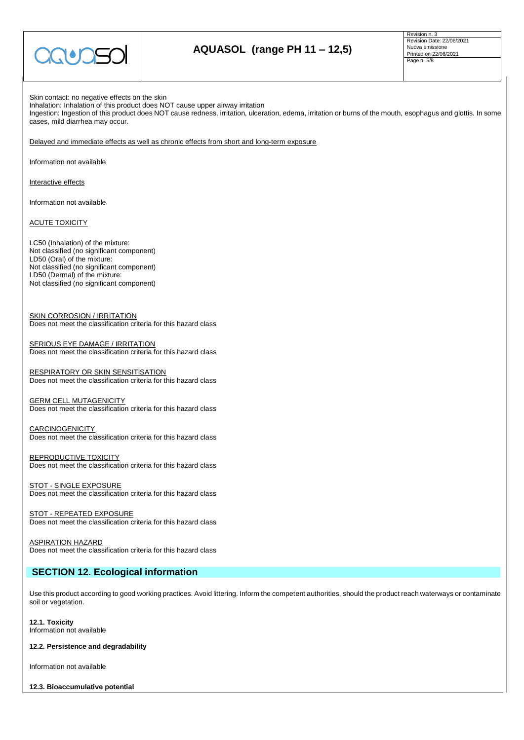

Revision n. 3 Revision Date: 22/06/2021 Nuova emissione Printed on 22/06/2021 Page n. 5/8

Skin contact: no negative effects on the skin Inhalation: Inhalation of this product does NOT cause upper airway irritation Ingestion: Ingestion of this product does NOT cause redness, irritation, ulceration, edema, irritation or burns of the mouth, esophagus and glottis. In some cases, mild diarrhea may occur.

Delayed and immediate effects as well as chronic effects from short and long-term exposure

Information not available

Interactive effects

Information not available

ACUTE TOXICITY

LC50 (Inhalation) of the mixture: Not classified (no significant component) LD50 (Oral) of the mixture: Not classified (no significant component) LD50 (Dermal) of the mixture: Not classified (no significant component)

SKIN CORROSION / IRRITATION Does not meet the classification criteria for this hazard class

**SERIOUS EYE DAMAGE / IRRITATION** Does not meet the classification criteria for this hazard class

RESPIRATORY OR SKIN SENSITISATION Does not meet the classification criteria for this hazard class

**GERM CELL MUTAGENICITY** Does not meet the classification criteria for this hazard class

CARCINOGENICITY Does not meet the classification criteria for this hazard class

REPRODUCTIVE TOXICITY Does not meet the classification criteria for this hazard class

STOT - SINGLE EXPOSURE Does not meet the classification criteria for this hazard class

STOT - REPEATED EXPOSURE Does not meet the classification criteria for this hazard class

ASPIRATION HAZARD Does not meet the classification criteria for this hazard class

# **SECTION 12. Ecological information**

Use this product according to good working practices. Avoid littering. Inform the competent authorities, should the product reach waterways or contaminate soil or vegetation.

**12.1. Toxicity** Information not available

**12.2. Persistence and degradability**

Information not available

**12.3. Bioaccumulative potential**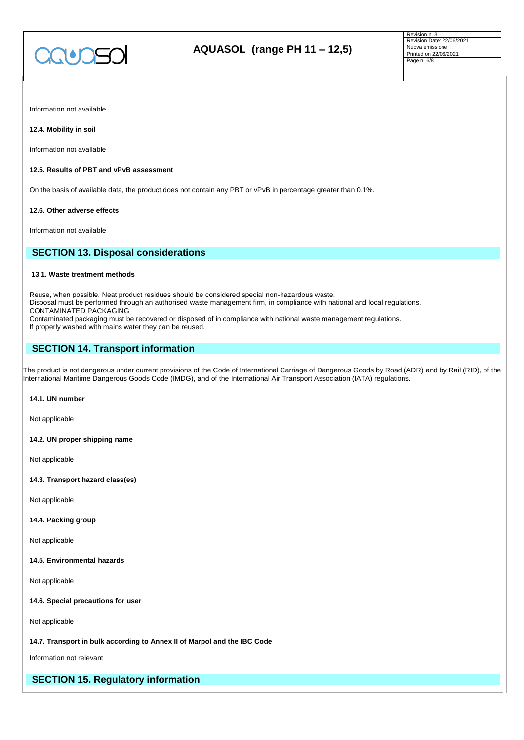

Information not available

## **12.4. Mobility in soil**

Information not available

## **12.5. Results of PBT and vPvB assessment**

On the basis of available data, the product does not contain any PBT or vPvB in percentage greater than 0,1%.

#### **12.6. Other adverse effects**

Information not available

# **SECTION 13. Disposal considerations**

## **13.1. Waste treatment methods**

Reuse, when possible. Neat product residues should be considered special non-hazardous waste. Disposal must be performed through an authorised waste management firm, in compliance with national and local regulations. CONTAMINATED PACKAGING Contaminated packaging must be recovered or disposed of in compliance with national waste management regulations. If properly washed with mains water they can be reused.

# **SECTION 14. Transport information**

The product is not dangerous under current provisions of the Code of International Carriage of Dangerous Goods by Road (ADR) and by Rail (RID), of the International Maritime Dangerous Goods Code (IMDG), and of the International Air Transport Association (IATA) regulations.

#### **14.1. UN number**

Not applicable

**14.2. UN proper shipping name**

Not applicable

**14.3. Transport hazard class(es)**

Not applicable

#### **14.4. Packing group**

Not applicable

**14.5. Environmental hazards**

Not applicable

**14.6. Special precautions for user**

Not applicable

## **14.7. Transport in bulk according to Annex II of Marpol and the IBC Code**

Information not relevant

# **SECTION 15. Regulatory information**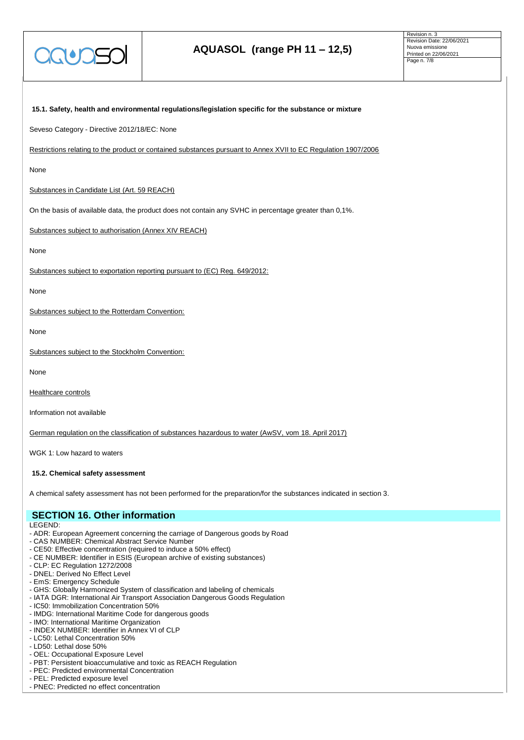

# **AQUASOL (range PH 11 – 12,5)**

Revision n. 3 Revision Date: 22/06/2021 Nuova emissione Printed on 22/06/2021 Page n. 7/8

| 15.1. Safety, health and environmental regulations/legislation specific for the substance or mixture           |
|----------------------------------------------------------------------------------------------------------------|
| Seveso Category - Directive 2012/18/EC: None                                                                   |
| Restrictions relating to the product or contained substances pursuant to Annex XVII to EC Regulation 1907/2006 |
| None                                                                                                           |
| Substances in Candidate List (Art. 59 REACH)                                                                   |
| On the basis of available data, the product does not contain any SVHC in percentage greater than 0,1%.         |
| Substances subject to authorisation (Annex XIV REACH)                                                          |
| None                                                                                                           |
| Substances subject to exportation reporting pursuant to (EC) Reg. 649/2012:                                    |
| None                                                                                                           |
| Substances subject to the Rotterdam Convention:                                                                |
| None                                                                                                           |
| Substances subject to the Stockholm Convention:                                                                |
| None                                                                                                           |
| Healthcare controls                                                                                            |

Information not available

German regulation on the classification of substances hazardous to water (AwSV, vom 18. April 2017)

WGK 1: Low hazard to waters

#### **15.2. Chemical safety assessment**

A chemical safety assessment has not been performed for the preparation/for the substances indicated in section 3.

# **SECTION 16. Other information**

LEGEND:

- ADR: European Agreement concerning the carriage of Dangerous goods by Road
- CAS NUMBER: Chemical Abstract Service Number
- CE50: Effective concentration (required to induce a 50% effect)
- CE NUMBER: Identifier in ESIS (European archive of existing substances)
- CLP: EC Regulation 1272/2008
- DNEL: Derived No Effect Level
- EmS: Emergency Schedule
- GHS: Globally Harmonized System of classification and labeling of chemicals
- IATA DGR: International Air Transport Association Dangerous Goods Regulation
- IC50: Immobilization Concentration 50%
- IMDG: International Maritime Code for dangerous goods
- IMO: International Maritime Organization
- INDEX NUMBER: Identifier in Annex VI of CLP
- LC50: Lethal Concentration 50%
- LD50: Lethal dose 50%
- OEL: Occupational Exposure Level
- PBT: Persistent bioaccumulative and toxic as REACH Regulation
- PEC: Predicted environmental Concentration
- PEL: Predicted exposure level
- PNEC: Predicted no effect concentration